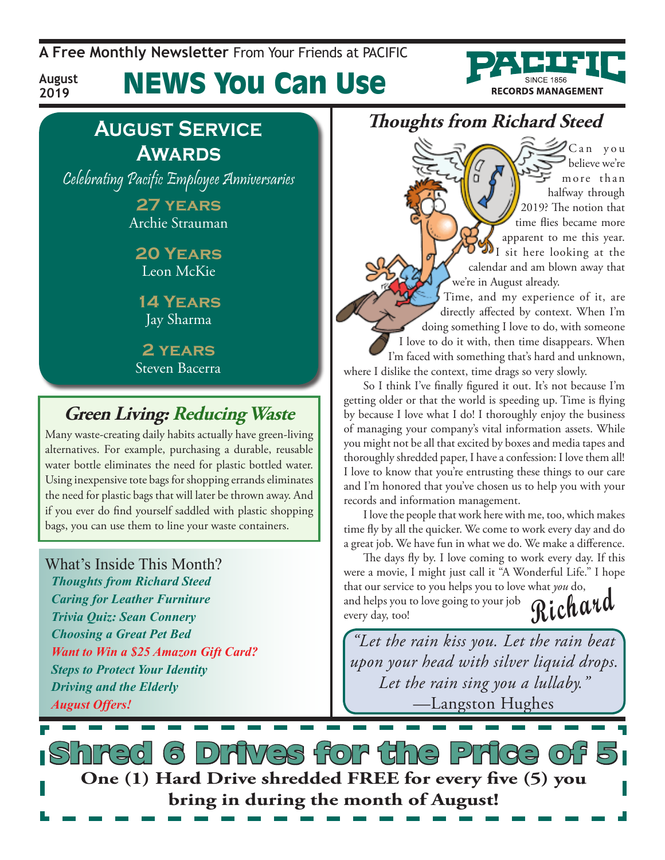**A Free Monthly Newsletter** From Your Friends at Pacific

# News You Can Use



# **August Service Awards**

**August 2019**

Celebrating Pacific Employee Anniversaries

**27 years** Archie Strauman

#### **20 Years** Leon McKie

**14 Years** Jay Sharma

**2 years** Steven Bacerra

### **Green Living: Reducing Waste**

Many waste-creating daily habits actually have green-living alternatives. For example, purchasing a durable, reusable water bottle eliminates the need for plastic bottled water. Using inexpensive tote bags for shopping errands eliminates the need for plastic bags that will later be thrown away. And if you ever do find yourself saddled with plastic shopping bags, you can use them to line your waste containers.

#### What's Inside This Month?

*Thoughts from Richard Steed Caring for Leather Furniture Trivia Quiz: Sean Connery Choosing a Great Pet Bed Want to Win a \$25 Amazon Gift Card? Steps to Protect Your Identity Driving and the Elderly August Offers!*

#### **Thoughts from Richard Steed**

 $\mathscr{D}$ Canyou believe we're more than halfway through 2019? The notion that time flies became more apparent to me this year. I sit here looking at the calendar and am blown away that we're in August already.

Time, and my experience of it, are directly affected by context. When I'm doing something I love to do, with someone I love to do it with, then time disappears. When I'm faced with something that's hard and unknown, where I dislike the context, time drags so very slowly.

So I think I've finally figured it out. It's not because I'm getting older or that the world is speeding up. Time is flying by because I love what I do! I thoroughly enjoy the business of managing your company's vital information assets. While you might not be all that excited by boxes and media tapes and thoroughly shredded paper, I have a confession: I love them all! I love to know that you're entrusting these things to our care and I'm honored that you've chosen us to help you with your records and information management.

I love the people that work here with me, too, which makes time fly by all the quicker. We come to work every day and do a great job. We have fun in what we do. We make a difference.

**Richard** The days fly by. I love coming to work every day. If this were a movie, I might just call it "A Wonderful Life." I hope that our service to you helps you to love what *you* do, and helps you to love going to your job every day, too!

*"Let the rain kiss you. Let the rain beat upon your head with silver liquid drops. Let the rain sing you a lullaby."*  —Langston Hughes

යි Dritves for the Price of **One (1) Hard Drive shredded FREE for every five (5) you bring in during the month of August!**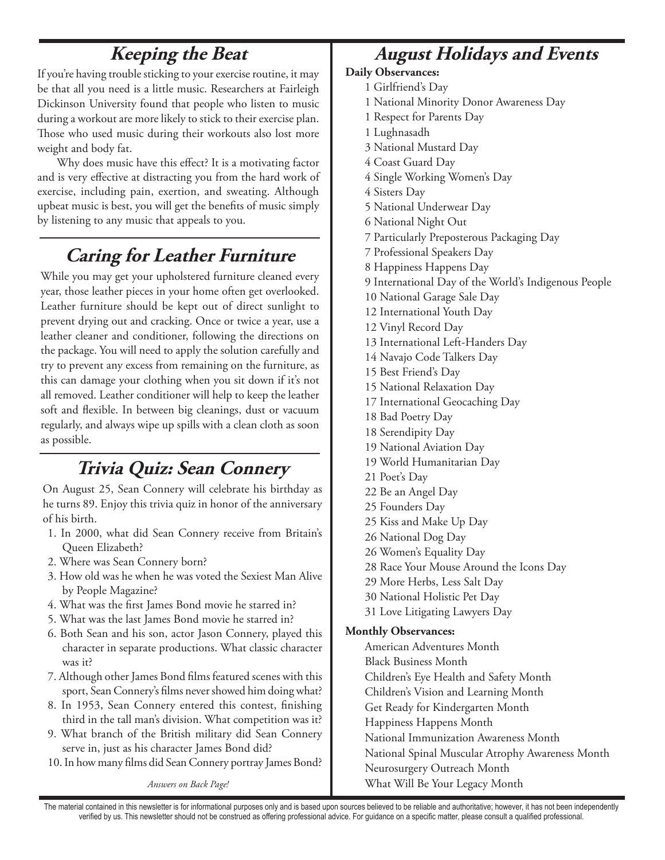# **Keeping the Beat**

If you're having trouble sticking to your exercise routine, it may be that all you need is a little music. Researchers at Fairleigh Dickinson University found that people who listen to music during a workout are more likely to stick to their exercise plan. Those who used music during their workouts also lost more weight and body fat.

Why does music have this effect? It is a motivating factor and is very effective at distracting you from the hard work of exercise, including pain, exertion, and sweating. Although upbeat music is best, you will get the benefits of music simply by listening to any music that appeals to you.

#### **Caring for Leather Furniture**

While you may get your upholstered furniture cleaned every year, those leather pieces in your home often get overlooked. Leather furniture should be kept out of direct sunlight to prevent drying out and cracking. Once or twice a year, use a leather cleaner and conditioner, following the directions on the package. You will need to apply the solution carefully and try to prevent any excess from remaining on the furniture, as this can damage your clothing when you sit down if it's not all removed. Leather conditioner will help to keep the leather soft and flexible. In between big cleanings, dust or vacuum regularly, and always wipe up spills with a clean cloth as soon as possible.

#### **Trivia Quiz: Sean Connery**

On August 25, Sean Connery will celebrate his birthday as he turns 89. Enjoy this trivia quiz in honor of the anniversary of his birth.

- 1. In 2000, what did Sean Connery receive from Britain's Queen Elizabeth?
- 2. Where was Sean Connery born?
- 3. How old was he when he was voted the Sexiest Man Alive by People Magazine?
- 4. What was the first James Bond movie he starred in?
- 5. What was the last James Bond movie he starred in?
- 6. Both Sean and his son, actor Jason Connery, played this character in separate productions. What classic character was it?
- 7. Although other James Bond films featured scenes with this sport, Sean Connery's films never showed him doing what?
- 8. In 1953, Sean Connery entered this contest, finishing third in the tall man's division. What competition was it?
- 9. What branch of the British military did Sean Connery serve in, just as his character James Bond did?
- 10. In how many films did Sean Connery portray James Bond?

*Answers on Back Page!*

#### **August Holidays and Events**

#### **Daily Observances:**

- 1 Girlfriend's Day
- 1 National Minority Donor Awareness Day
- 1 Respect for Parents Day
- 1 Lughnasadh
- 3 National Mustard Day
- 4 Coast Guard Day
- 4 Single Working Women's Day
- 4 Sisters Day
- 5 National Underwear Day
- 6 National Night Out
- 7 Particularly Preposterous Packaging Day
- 7 Professional Speakers Day
- 8 Happiness Happens Day
- 9 International Day of the World's Indigenous People
- 10 National Garage Sale Day
- 12 International Youth Day
- 12 Vinyl Record Day
- 13 International Left-Handers Day
- 14 Navajo Code Talkers Day
- 15 Best Friend's Day
- 15 National Relaxation Day
- 17 International Geocaching Day
- 18 Bad Poetry Day
- 18 Serendipity Day
- 19 National Aviation Day
- 19 World Humanitarian Day
- 21 Poet's Day
- 22 Be an Angel Day
- 25 Founders Day
- 25 Kiss and Make Up Day
- 26 National Dog Day
- 26 Women's Equality Day
- 28 Race Your Mouse Around the Icons Day
- 29 More Herbs, Less Salt Day
- 30 National Holistic Pet Day
- 31 Love Litigating Lawyers Day

#### **Monthly Observances:**

- American Adventures Month
- Black Business Month
- Children's Eye Health and Safety Month
- Children's Vision and Learning Month
- Get Ready for Kindergarten Month
- Happiness Happens Month
- National Immunization Awareness Month
- National Spinal Muscular Atrophy Awareness Month
- Neurosurgery Outreach Month

What Will Be Your Legacy Month

The material contained in this newsletter is for informational purposes only and is based upon sources believed to be reliable and authoritative; however, it has not been independently verified by us. This newsletter should not be construed as offering professional advice. For guidance on a specific matter, please consult a qualified professional.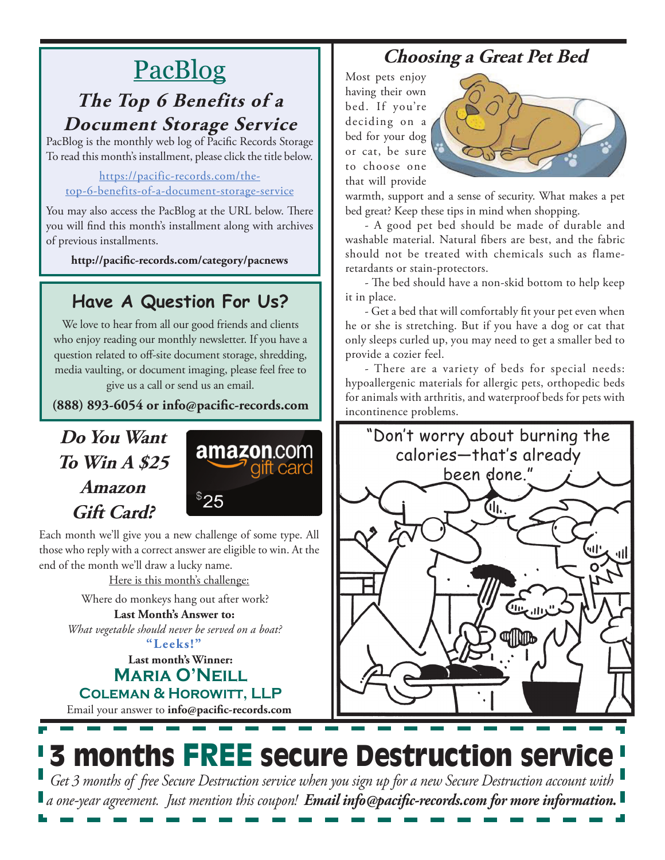# PacBlog

#### **The Top 6 Benefits of a Document Storage Service**

PacBlog is the monthly web log of Pacific Records Storage To read this month's installment, please click the title below.

#### [https://pacific-records.com/the](https://pacific-records.com/the-top-6-benefits-of-a-document-storage-service)[top-6-benefits-of-a-document-storage-service](https://pacific-records.com/the-top-6-benefits-of-a-document-storage-service)

You may also access the PacBlog at the URL below. There you will find this month's installment along with archives of previous installments.

**http://pacific-records.com/category/pacnews**

## **Have A Question For Us?**

We love to hear from all our good friends and clients who enjoy reading our monthly newsletter. If you have a question related to off-site document storage, shredding, media vaulting, or document imaging, please feel free to give us a call or send us an email.

**(888) 893-6054 or info@pacific-records.com**

## **Do You Want To Win A \$25 Amazon Gift Card?**



Each month we'll give you a new challenge of some type. All those who reply with a correct answer are eligible to win. At the end of the month we'll draw a lucky name.

Here is this month's challenge:

**Last Month's Answer to:**  *What vegetable should never be served on a boat?* Where do monkeys hang out after work?

**"Leeks!"**

#### **Last month's Winner: Maria O'Neill Coleman & Horowitt, LLP**

Email your answer to **info@pacific-records.com**

## **Choosing a Great Pet Bed**

Most pets enjoy having their own bed. If you're deciding on a bed for your dog or cat, be sure to choose one that will provide



warmth, support and a sense of security. What makes a pet bed great? Keep these tips in mind when shopping.

- A good pet bed should be made of durable and washable material. Natural fibers are best, and the fabric should not be treated with chemicals such as flameretardants or stain-protectors.

- The bed should have a non-skid bottom to help keep it in place.

- Get a bed that will comfortably fit your pet even when he or she is stretching. But if you have a dog or cat that only sleeps curled up, you may need to get a smaller bed to provide a cozier feel.

- There are a variety of beds for special needs: hypoallergenic materials for allergic pets, orthopedic beds for animals with arthritis, and waterproof beds for pets with incontinence problems.



# 3 months FREE secure Destruction service

*Get 3 months of free Secure Destruction service when you sign up for a new Secure Destruction account with a one-year agreement. Just mention this coupon! Email info@pacific-records.com for more information.*